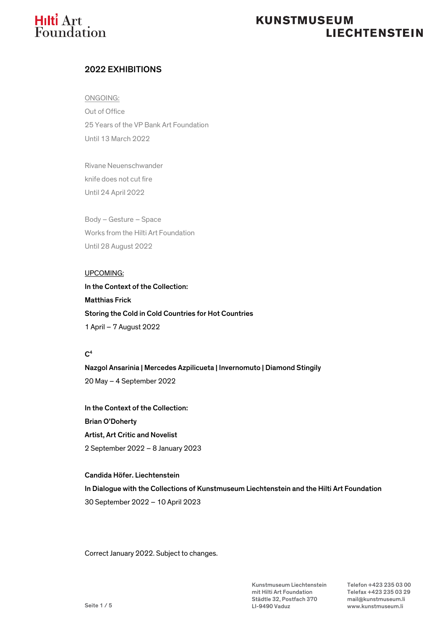# **Hilti** Art<br>Foundation

# **KUNSTMUSEUM LIECHTENSTEIN**

## 2022 EXHIBITIONS

ONGOING: Out of Office 25 Years of the VP Bank Art Foundation Until 13 March 2022

Rivane Neuenschwander knife does not cut fire Until 24 April 2022

Body – Gesture – Space Works from the Hilti Art Foundation Until 28 August 2022

## UPCOMING:

In the Context of the Collection: Matthias Frick Storing the Cold in Cold Countries for Hot Countries 1 April – 7 August 2022

## $C<sup>4</sup>$

Nazgol Ansarinia | Mercedes Azpilicueta | Invernomuto | Diamond Stingily 20 May – 4 September 2022

In the Context of the Collection: Brian O'Doherty Artist, Art Critic and Novelist 2 September 2022 – 8 January 2023

Candida Höfer. Liechtenstein In Dialogue with the Collections of Kunstmuseum Liechtenstein and the Hilti Art Foundation 30 September 2022 – 10 April 2023

Correct January 2022. Subject to changes.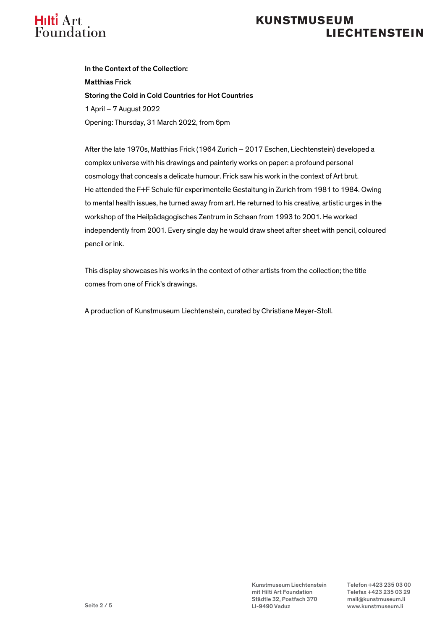

# **KUNSTMUSEUM LIECHTENSTEIN**

In the Context of the Collection: Matthias Frick Storing the Cold in Cold Countries for Hot Countries 1 April – 7 August 2022 Opening: Thursday, 31 March 2022, from 6pm

After the late 1970s, Matthias Frick (1964 Zurich – 2017 Eschen, Liechtenstein) developed a complex universe with his drawings and painterly works on paper: a profound personal cosmology that conceals a delicate humour. Frick saw his work in the context of Art brut. He attended the F+F Schule für experimentelle Gestaltung in Zurich from 1981 to 1984. Owing to mental health issues, he turned away from art. He returned to his creative, artistic urges in the workshop of the Heilpädagogisches Zentrum in Schaan from 1993 to 2001. He worked independently from 2001. Every single day he would draw sheet after sheet with pencil, coloured pencil or ink.

This display showcases his works in the context of other artists from the collection; the title comes from one of Frick's drawings.

A production of Kunstmuseum Liechtenstein, curated by Christiane Meyer-Stoll.

Kunstmuseum Liechtenstein Telefon +423 235 03 00 mit Hilti Art Foundation Telefax +423 235 03 29 Städtle 32, Postfach 370 mail@kunstmuseum.li LI-9490 Vaduz www.kunstmuseum.li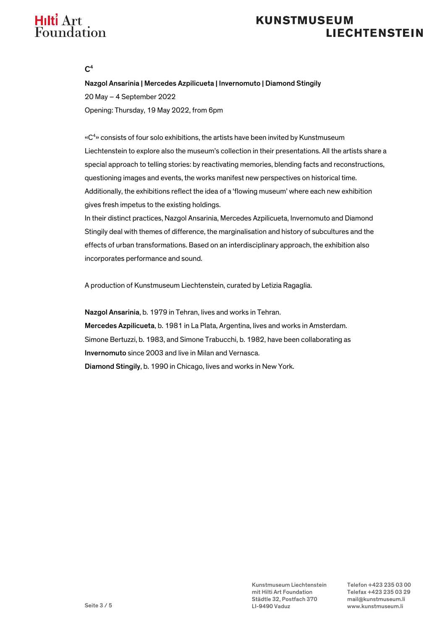# Hilti Art Foundation

# **KUNSTMUSEUM LIECHTENSTEIN**

 $C<sup>4</sup>$ 

Nazgol Ansarinia | Mercedes Azpilicueta | Invernomuto | Diamond Stingily 20 May – 4 September 2022 Opening: Thursday, 19 May 2022, from 6pm

«C<sup>4</sup>» consists of four solo exhibitions, the artists have been invited by Kunstmuseum Liechtenstein to explore also the museum's collection in their presentations. All the artists share a special approach to telling stories: by reactivating memories, blending facts and reconstructions, questioning images and events, the works manifest new perspectives on historical time. Additionally, the exhibitions reflect the idea of a 'flowing museum' where each new exhibition gives fresh impetus to the existing holdings.

In their distinct practices, Nazgol Ansarinia, Mercedes Azpilicueta, Invernomuto and Diamond Stingily deal with themes of difference, the marginalisation and history of subcultures and the effects of urban transformations. Based on an interdisciplinary approach, the exhibition also incorporates performance and sound.

A production of Kunstmuseum Liechtenstein, curated by Letizia Ragaglia.

Nazgol Ansarinia, b. 1979 in Tehran, lives and works in Tehran. Mercedes Azpilicueta, b. 1981 in La Plata, Argentina, lives and works in Amsterdam. Simone Bertuzzi, b. 1983, and Simone Trabucchi, b. 1982, have been collaborating as Invernomuto since 2003 and live in Milan and Vernasca. Diamond Stingily, b. 1990 in Chicago, lives and works in New York.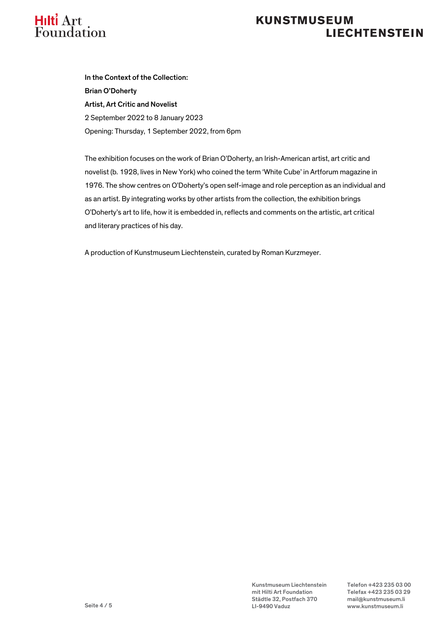

# **KUNSTMUSEUM LIECHTENSTEIN**

In the Context of the Collection: Brian O'Doherty Artist, Art Critic and Novelist 2 September 2022 to 8 January 2023 Opening: Thursday, 1 September 2022, from 6pm

The exhibition focuses on the work of Brian O'Doherty, an Irish-American artist, art critic and novelist (b. 1928, lives in New York) who coined the term 'White Cube' in Artforum magazine in 1976. The show centres on O'Doherty's open self-image and role perception as an individual and as an artist. By integrating works by other artists from the collection, the exhibition brings O'Doherty's art to life, how it is embedded in, reflects and comments on the artistic, art critical and literary practices of his day.

A production of Kunstmuseum Liechtenstein, curated by Roman Kurzmeyer.

Kunstmuseum Liechtenstein Telefon +423 235 03 00 mit Hilti Art Foundation Telefax +423 235 03 29 Städtle 32, Postfach 370 mail@kunstmuseum.li LI-9490 Vaduz www.kunstmuseum.li